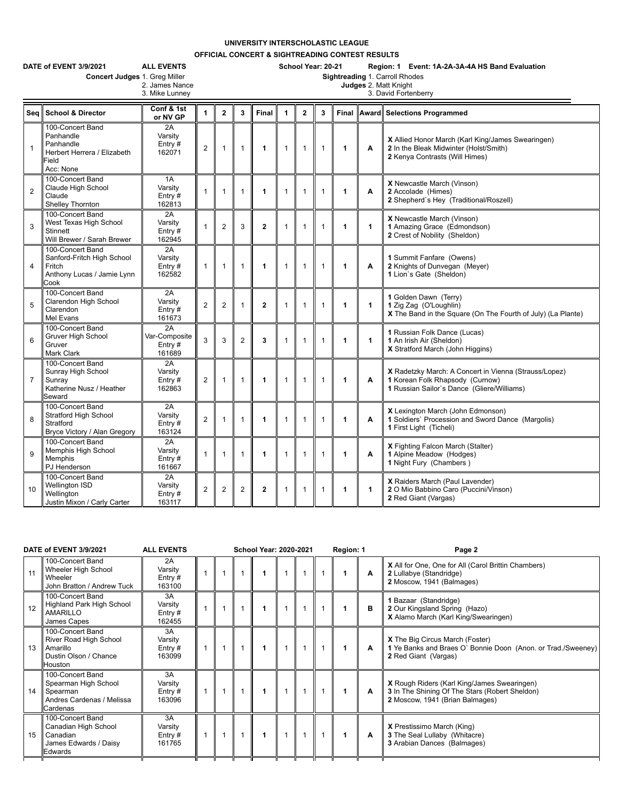## **UNIVERSITY INTERSCHOLASTIC LEAGUE**

**OFFICIAL CONCERT & SIGHTREADING CONTEST RESULTS**

|                | DATE of EVENT 3/9/2021<br>Concert Judges 1. Greg Miller                                         | <b>ALL EVENTS</b><br>2. James Nance<br>3. Mike Lunney |                |                |                |                      | School Year: 20-21<br>Region: 1 Event: 1A-2A-3A-4A HS Band Evaluation<br>Sightreading 1. Carroll Rhodes<br>Judges 2. Matt Knight<br>3. David Fortenberry |                |                |                      |              |                                                                                                                                        |  |  |  |
|----------------|-------------------------------------------------------------------------------------------------|-------------------------------------------------------|----------------|----------------|----------------|----------------------|----------------------------------------------------------------------------------------------------------------------------------------------------------|----------------|----------------|----------------------|--------------|----------------------------------------------------------------------------------------------------------------------------------------|--|--|--|
| Seq            | <b>School &amp; Director</b>                                                                    | Conf & 1st<br>or NV GP                                | $\mathbf{1}$   | $\overline{2}$ | $\mathbf{3}$   | Final                | 1                                                                                                                                                        | $\overline{2}$ | 3              |                      |              | Final Award Selections Programmed                                                                                                      |  |  |  |
| $\mathbf{1}$   | 100-Concert Band<br>Panhandle<br>Panhandle<br>Herbert Herrera / Elizabeth<br>Field<br>Acc: None | 2A<br>Varsity<br>Entry#<br>162071                     | $\overline{2}$ | $\mathbf{1}$   | $\mathbf{1}$   | 1                    | $\mathbf{1}$                                                                                                                                             | $\mathbf{1}$   | $\mathbf{1}$   | 1                    | A            | X Allied Honor March (Karl King/James Swearingen)<br>2 In the Bleak Midwinter (Holst/Smith)<br>2 Kenya Contrasts (Will Himes)          |  |  |  |
| $\overline{2}$ | 100-Concert Band<br>Claude High School<br>Claude<br>Shelley Thornton                            | 1A<br>Varsity<br>Entry $#$<br>162813                  |                | $\overline{1}$ | 1              | $\blacktriangleleft$ | 1                                                                                                                                                        | $\mathbf{1}$   | $\overline{1}$ | 1                    | A            | X Newcastle March (Vinson)<br>2 Accolade (Himes)<br>2 Shepherd's Hey (Traditional/Roszell)                                             |  |  |  |
| 3              | 100-Concert Band<br>West Texas High School<br>Stinnett<br>Will Brewer / Sarah Brewer            | 2A<br>Varsity<br>Entry $#$<br>162945                  | 1              | $\overline{2}$ | 3              | $\mathbf{2}$         | 1                                                                                                                                                        | $\mathbf{1}$   | $\mathbf{1}$   | 1                    | $\mathbf{1}$ | X Newcastle March (Vinson)<br>1 Amazing Grace (Edmondson)<br>2 Crest of Nobility (Sheldon)                                             |  |  |  |
| $\overline{4}$ | 100-Concert Band<br>Sanford-Fritch High School<br>Fritch<br>Anthony Lucas / Jamie Lynn<br>Cook  | 2A<br>Varsity<br>Entry $#$<br>162582                  | 1              | $\overline{1}$ | $\overline{1}$ | $\mathbf{1}$         | 1                                                                                                                                                        | $\mathbf{1}$   | $\mathbf{1}$   | $\blacktriangleleft$ | A            | 1 Summit Fanfare (Owens)<br>2 Knights of Dunvegan (Meyer)<br>1 Lion's Gate (Sheldon)                                                   |  |  |  |
| 5              | 100-Concert Band<br>Clarendon High School<br>Clarendon<br>Mel Evans                             | 2A<br>Varsity<br>Entry $#$<br>161673                  | $\overline{2}$ | 2              | 1              | $\mathbf{2}$         | 1                                                                                                                                                        | $\mathbf{1}$   | $\overline{1}$ | 1                    | 1            | 1 Golden Dawn (Terry)<br>1 Zig Zag (O'Loughlin)<br>X The Band in the Square (On The Fourth of July) (La Plante)                        |  |  |  |
| 6              | 100-Concert Band<br>Gruver High School<br>Gruver<br>Mark Clark                                  | 2A<br>Var-Composite<br>Entry $#$<br>161689            | 3              | 3              | $\overline{2}$ | 3                    | $\mathbf{1}$                                                                                                                                             | $\mathbf{1}$   | $\mathbf{1}$   | 1                    | $\mathbf{1}$ | 1 Russian Folk Dance (Lucas)<br>1 An Irish Air (Sheldon)<br>X Stratford March (John Higgins)                                           |  |  |  |
| $\overline{7}$ | 100-Concert Band<br>Sunray High School<br>Sunray<br>Katherine Nusz / Heather<br>Seward          | 2A<br>Varsity<br>Entrv#<br>162863                     | $\overline{2}$ | -1             | 1              | $\mathbf{1}$         | 1                                                                                                                                                        | $\mathbf{1}$   | $\mathbf{1}$   | 1                    | A            | X Radetzky March: A Concert in Vienna (Strauss/Lopez)<br>1 Korean Folk Rhapsody (Curnow)<br>1 Russian Sailor's Dance (Gliere/Williams) |  |  |  |
| 8              | 100-Concert Band<br><b>Stratford High School</b><br>Stratford<br>Bryce Victory / Alan Gregory   | 2A<br>Varsity<br>Entry $#$<br>163124                  | $\overline{2}$ |                | 1              | $\blacktriangleleft$ | 1                                                                                                                                                        | $\mathbf{1}$   | $\overline{1}$ | 1                    | A            | X Lexington March (John Edmonson)<br>1 Soldiers' Procession and Sword Dance (Margolis)<br>1 First Light (Ticheli)                      |  |  |  |
| 9              | 100-Concert Band<br>Memphis High School<br><b>Memphis</b><br>PJ Henderson                       | 2A<br>Varsity<br>Entry $#$<br>161667                  |                | -1             | 1              | 1                    | 1                                                                                                                                                        | $\mathbf{1}$   | $\mathbf{1}$   | 1                    | A            | X Fighting Falcon March (Stalter)<br>1 Alpine Meadow (Hodges)<br>1 Night Fury (Chambers)                                               |  |  |  |
| 10             | 100-Concert Band<br>Wellington ISD<br>Wellington<br>Justin Mixon / Carly Carter                 | 2A<br>Varsity<br>Entry $#$<br>163117                  | $\overline{2}$ | $\overline{2}$ | $\overline{2}$ | $\mathbf{2}$         | 1                                                                                                                                                        | $\mathbf{1}$   | $\mathbf{1}$   | 1                    | 1            | X Raiders March (Paul Lavender)<br>2 O Mio Babbino Caro (Puccini/Vinson)<br>2 Red Giant (Vargas)                                       |  |  |  |

|    | DATE of EVENT 3/9/2021                                                                            | <b>ALL EVENTS</b>                    | <b>School Year: 2020-2021</b> |  |  |  |  | Region: 1 |  | Page 2 |                                                                                                                                  |
|----|---------------------------------------------------------------------------------------------------|--------------------------------------|-------------------------------|--|--|--|--|-----------|--|--------|----------------------------------------------------------------------------------------------------------------------------------|
| 11 | 100-Concert Band<br>Wheeler High School<br>Wheeler<br>John Bratton / Andrew Tuck                  | 2A<br>Varsity<br>Entry $#$<br>163100 |                               |  |  |  |  |           |  | A      | X All for One, One for All (Carol Brittin Chambers)<br>2 Lullabye (Standridge)<br>2 Moscow, 1941 (Balmages)                      |
| 12 | 100-Concert Band<br>Highland Park High School<br><b>AMARILLO</b><br>James Capes                   | 3A<br>Varsity<br>Entry $#$<br>162455 |                               |  |  |  |  |           |  | в      | 1 Bazaar (Standridge)<br>2 Our Kingsland Spring (Hazo)<br>X Alamo March (Karl King/Swearingen)                                   |
| 13 | 100-Concert Band<br>River Road High School<br>Amarillo<br>Dustin Olson / Chance<br><b>Houston</b> | 3A<br>Varsity<br>Entry $#$<br>163099 |                               |  |  |  |  |           |  | A      | X The Big Circus March (Foster)<br>1 Ye Banks and Braes O' Bonnie Doon (Anon. or Trad./Sweeney)<br>2 Red Giant (Vargas)          |
| 14 | 100-Concert Band<br>Spearman High School<br>Spearman<br>Andres Cardenas / Melissa<br>Cardenas     | 3A<br>Varsity<br>Entry $#$<br>163096 |                               |  |  |  |  |           |  | A      | X Rough Riders (Karl King/James Swearingen)<br>3 In The Shining Of The Stars (Robert Sheldon)<br>2 Moscow, 1941 (Brian Balmages) |
| 15 | 100-Concert Band<br>Canadian High School<br>Canadian<br>James Edwards / Daisy<br>Edwards          | 3A<br>Varsity<br>Entry#<br>161765    |                               |  |  |  |  |           |  | A      | <b>X</b> Prestissimo March (King)<br>3 The Seal Lullaby (Whitacre)<br>3 Arabian Dances (Balmages)                                |